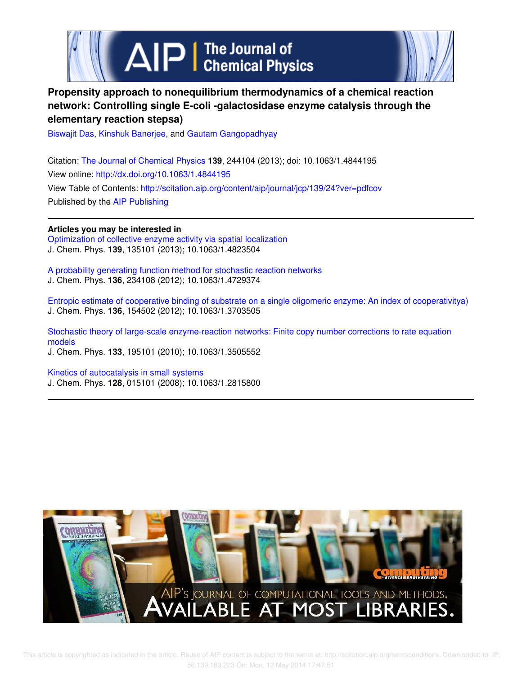



# **Propensity approach to nonequilibrium thermodynamics of a chemical reaction network: Controlling single E-coli -galactosidase enzyme catalysis through the elementary reaction stepsa)**

Biswajit Das, Kinshuk Banerjee, and Gautam Gangopadhyay

Citation: The Journal of Chemical Physics **139**, 244104 (2013); doi: 10.1063/1.4844195 View online: http://dx.doi.org/10.1063/1.4844195 View Table of Contents: http://scitation.aip.org/content/aip/journal/jcp/139/24?ver=pdfcov Published by the AIP Publishing

## **Articles you may be interested in**

Optimization of collective enzyme activity via spatial localization J. Chem. Phys. **139**, 135101 (2013); 10.1063/1.4823504

A probability generating function method for stochastic reaction networks J. Chem. Phys. **136**, 234108 (2012); 10.1063/1.4729374

Entropic estimate of cooperative binding of substrate on a single oligomeric enzyme: An index of cooperativitya) J. Chem. Phys. **136**, 154502 (2012); 10.1063/1.3703505

Stochastic theory of large-scale enzyme-reaction networks: Finite copy number corrections to rate equation models J. Chem. Phys. **133**, 195101 (2010); 10.1063/1.3505552

Kinetics of autocatalysis in small systems J. Chem. Phys. **128**, 015101 (2008); 10.1063/1.2815800

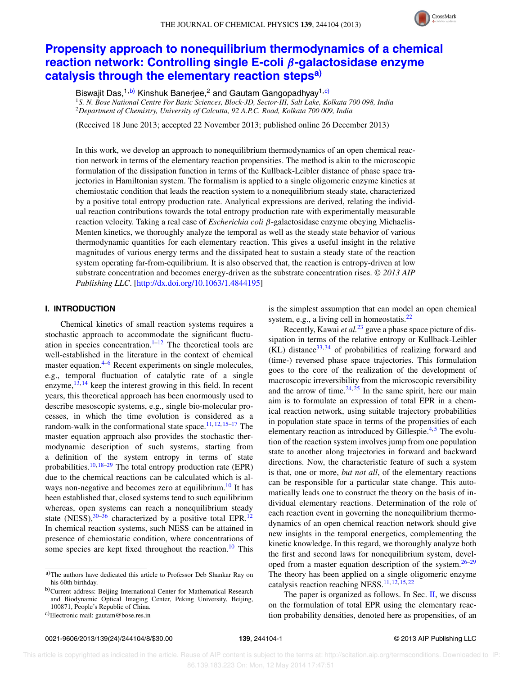

# **Propensity approach to nonequilibrium thermodynamics of a chemical reaction network: Controlling single E-coli** β**-galactosidase enzyme catalysis through the elementary reaction stepsa)**

Biswajit Das,<sup>1,b)</sup> Kinshuk Banerjee,<sup>2</sup> and Gautam Gangopadhyay<sup>1,c)</sup>

<sup>1</sup>*S. N. Bose National Centre For Basic Sciences, Block-JD, Sector-III, Salt Lake, Kolkata 700 098, India* <sup>2</sup>*Department of Chemistry, University of Calcutta, 92 A.P.C. Road, Kolkata 700 009, India*

(Received 18 June 2013; accepted 22 November 2013; published online 26 December 2013)

In this work, we develop an approach to nonequilibrium thermodynamics of an open chemical reaction network in terms of the elementary reaction propensities. The method is akin to the microscopic formulation of the dissipation function in terms of the Kullback-Leibler distance of phase space trajectories in Hamiltonian system. The formalism is applied to a single oligomeric enzyme kinetics at chemiostatic condition that leads the reaction system to a nonequilibrium steady state, characterized by a positive total entropy production rate. Analytical expressions are derived, relating the individual reaction contributions towards the total entropy production rate with experimentally measurable reaction velocity. Taking a real case of *Escherichia coli* β-galactosidase enzyme obeying Michaelis-Menten kinetics, we thoroughly analyze the temporal as well as the steady state behavior of various thermodynamic quantities for each elementary reaction. This gives a useful insight in the relative magnitudes of various energy terms and the dissipated heat to sustain a steady state of the reaction system operating far-from-equilibrium. It is also observed that, the reaction is entropy-driven at low substrate concentration and becomes energy-driven as the substrate concentration rises. *© 2013 AIP Publishing LLC*. [http://dx.doi.org/10.1063/1.4844195]

## **I. INTRODUCTION**

Chemical kinetics of small reaction systems requires a stochastic approach to accommodate the significant fluctuation in species concentration.<sup>1–12</sup> The theoretical tools are well-established in the literature in the context of chemical master equation. $4-6$  Recent experiments on single molecules, e.g., temporal fluctuation of catalytic rate of a single enzyme,  $^{13, 14}$  keep the interest growing in this field. In recent years, this theoretical approach has been enormously used to describe mesoscopic systems, e.g., single bio-molecular processes, in which the time evolution is considered as a random-walk in the conformational state space.<sup>11, 12, 15–17</sup> The master equation approach also provides the stochastic thermodynamic description of such systems, starting from a definition of the system entropy in terms of state probabilities.<sup>10, 18–29</sup> The total entropy production rate (EPR) due to the chemical reactions can be calculated which is always non-negative and becomes zero at equilibrium.<sup>10</sup> It has been established that, closed systems tend to such equilibrium whereas, open systems can reach a nonequilibrium steady state (NESS), $30-36$  characterized by a positive total EPR.<sup>12</sup> In chemical reaction systems, such NESS can be attained in presence of chemiostatic condition, where concentrations of some species are kept fixed throughout the reaction.<sup>10</sup> This is the simplest assumption that can model an open chemical system, e.g., a living cell in homeostatis.<sup>22</sup>

Recently, Kawai *et al.*<sup>23</sup> gave a phase space picture of dissipation in terms of the relative entropy or Kullback-Leibler  $(KL)$  distance<sup>33, 34</sup> of probabilities of realizing forward and (time-) reversed phase space trajectories. This formulation goes to the core of the realization of the development of macroscopic irreversibility from the microscopic reversibility and the arrow of time. $24, 25$  In the same spirit, here our main aim is to formulate an expression of total EPR in a chemical reaction network, using suitable trajectory probabilities in population state space in terms of the propensities of each elementary reaction as introduced by Gillespie. $4,5$  The evolution of the reaction system involves jump from one population state to another along trajectories in forward and backward directions. Now, the characteristic feature of such a system is that, one or more, *but not all*, of the elementary reactions can be responsible for a particular state change. This automatically leads one to construct the theory on the basis of individual elementary reactions. Determination of the role of each reaction event in governing the nonequilibrium thermodynamics of an open chemical reaction network should give new insights in the temporal energetics, complementing the kinetic knowledge. In this regard, we thoroughly analyze both the first and second laws for nonequilibrium system, developed from a master equation description of the system.26–29 The theory has been applied on a single oligomeric enzyme catalysis reaction reaching NESS.<sup>11, 12, 15, 22</sup>

The paper is organized as follows. In Sec. II, we discuss on the formulation of total EPR using the elementary reaction probability densities, denoted here as propensities, of an

a)The authors have dedicated this article to Professor Deb Shankar Ray on his 60th birthday.

b)Current address: Beijing International Center for Mathematical Research and Biodynamic Optical Imaging Center, Peking University, Beijing, 100871, People's Republic of China.

c)Electronic mail: gautam@bose.res.in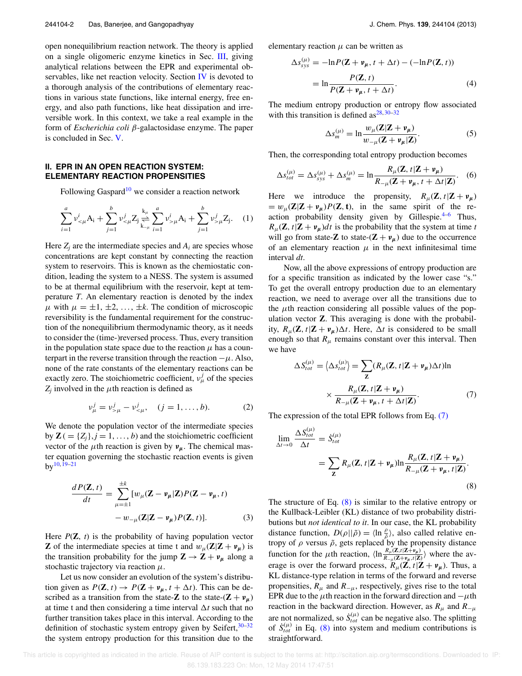open nonequilibrium reaction network. The theory is applied on a single oligomeric enzyme kinetics in Sec. III, giving analytical relations between the EPR and experimental observables, like net reaction velocity. Section IV is devoted to a thorough analysis of the contributions of elementary reactions in various state functions, like internal energy, free energy, and also path functions, like heat dissipation and irreversible work. In this context, we take a real example in the form of *Escherichia coli* β-galactosidase enzyme. The paper is concluded in Sec. V.

## **II. EPR IN AN OPEN REACTION SYSTEM: ELEMENTARY REACTION PROPENSITIES**

Following Gaspard<sup>10</sup> we consider a reaction network

$$
\sum_{i=1}^{a} \nu_{\leq \mu}^{i} A_i + \sum_{j=1}^{b} \nu_{\leq \mu}^{j} Z_j \underset{k_{-\mu}}{\overset{k_{\mu}}{\rightleftharpoons}} \sum_{i=1}^{a} \nu_{>\mu}^{i} A_i + \sum_{j=1}^{b} \nu_{>\mu}^{j} Z_j.
$$
 (1)

Here  $Z_i$  are the intermediate species and  $A_i$  are species whose concentrations are kept constant by connecting the reaction system to reservoirs. This is known as the chemiostatic condition, leading the system to a NESS. The system is assumed to be at thermal equilibrium with the reservoir, kept at temperature *T*. An elementary reaction is denoted by the index  $\mu$  with  $\mu = \pm 1, \pm 2, \ldots, \pm k$ . The condition of microscopic reversibility is the fundamental requirement for the construction of the nonequilibrium thermodynamic theory, as it needs to consider the (time-)reversed process. Thus, every transition in the population state space due to the reaction  $\mu$  has a counterpart in the reverse transition through the reaction  $-\mu$ . Also, none of the rate constants of the elementary reactions can be exactly zero. The stoichiometric coefficient,  $v^j_\mu$  of the species  $Z_j$  involved in the  $\mu$ th reaction is defined as

$$
v_{\mu}^{j} = v_{>\mu}^{j} - v_{<\mu}^{j}, \quad (j = 1, ..., b).
$$
 (2)

We denote the population vector of the intermediate species by  $\mathbf{Z}$  ( $= \{Z_i\}, j = 1, \ldots, b$ ) and the stoichiometric coefficient vector of the  $\mu$ th reaction is given by  $v_{\mu}$ . The chemical master equation governing the stochastic reaction events is given  $bv^{10, 19-21}$ 

$$
\frac{dP(\mathbf{Z},t)}{dt} = \sum_{\mu=\pm 1}^{\pm k} [w_{\mu}(\mathbf{Z} - \mathbf{v}_{\mu}|\mathbf{Z})P(\mathbf{Z} - \mathbf{v}_{\mu}, t) - w_{-\mu}(\mathbf{Z}|\mathbf{Z} - \mathbf{v}_{\mu})P(\mathbf{Z}, t)].
$$
\n(3)

Here  $P(\mathbf{Z}, t)$  is the probability of having population vector **Z** of the intermediate species at time t and  $w_\mu(Z|Z + v_\mu)$  is the transition probability for the jump  $\mathbf{Z} \to \mathbf{Z} + \mathbf{v}_{\mu}$  along a stochastic trajectory via reaction  $\mu$ .

Let us now consider an evolution of the system's distribution given as  $P(\mathbf{Z}, t) \rightarrow P(\mathbf{Z} + \mathbf{v}_{\mu}, t + \Delta t)$ . This can be described as a transition from the state- $\mathbf{Z}$  to the state- $(\mathbf{Z} + \mathbf{v}_{\mu})$ at time t and then considering a time interval  $\Delta t$  such that no further transition takes place in this interval. According to the definition of stochastic system entropy given by Seifert,  $30-32$ the system entropy production for this transition due to the elementary reaction  $\mu$  can be written as

$$
\Delta s_{sys}^{(\mu)} = -\ln P(\mathbf{Z} + \mathbf{v}_{\mu}, t + \Delta t) - (-\ln P(\mathbf{Z}, t))
$$

$$
= \ln \frac{P(\mathbf{Z}, t)}{P(\mathbf{Z} + \mathbf{v}_{\mu}, t + \Delta t)}.
$$
(4)

The medium entropy production or entropy flow associated with this transition is defined as  $28,30-32$ 

$$
\Delta s_m^{(\mu)} = \ln \frac{w_\mu (Z|Z + v_\mu)}{w_{-\mu} (Z + v_\mu|Z)}.
$$
\n(5)

Then, the corresponding total entropy production becomes

$$
\Delta s_{tot}^{(\mu)} = \Delta s_{sys}^{(\mu)} + \Delta s_m^{(\mu)} = \ln \frac{R_\mu(\mathbf{Z}, t | \mathbf{Z} + \mathbf{v}_\mu)}{R_{-\mu}(\mathbf{Z} + \mathbf{v}_\mu, t + \Delta t | \mathbf{Z})}.
$$
 (6)

Here we introduce the propensity,  $R_{\mu}(\mathbf{Z}, t|\mathbf{Z} + \mathbf{v}_{\mu})$  $= w_{\mu}(\mathbf{Z}|\mathbf{Z} + \mathbf{v}_{\mu})P(\mathbf{Z}, \mathbf{t}),$  in the same spirit of the reaction probability density given by Gillespie. $4-6$  Thus,  $R_{\mu}(\mathbf{Z}, t|\mathbf{Z} + \mathbf{v}_{\mu})dt$  is the probability that the system at time *t* will go from state-**Z** to state- $(\mathbf{Z} + \mathbf{v}_{\mu})$  due to the occurrence of an elementary reaction  $\mu$  in the next infinitesimal time interval *dt*.

Now, all the above expressions of entropy production are for a specific transition as indicated by the lower case "s." To get the overall entropy production due to an elementary reaction, we need to average over all the transitions due to the  $\mu$ th reaction considering all possible values of the population vector **Z**. This averaging is done with the probability,  $R_u(\mathbf{Z}, t|\mathbf{Z} + \mathbf{v}_u) \Delta t$ . Here,  $\Delta t$  is considered to be small enough so that  $R_{\mu}$  remains constant over this interval. Then we have

$$
\Delta S_{tot}^{(\mu)} = \langle \Delta s_{tot}^{(\mu)} \rangle = \sum_{\mathbf{Z}} (R_{\mu}(\mathbf{Z}, t | \mathbf{Z} + \mathbf{v}_{\mu}) \Delta t) \ln \times \frac{R_{\mu}(\mathbf{Z}, t | \mathbf{Z} + \mathbf{v}_{\mu})}{R_{-\mu}(\mathbf{Z} + \mathbf{v}_{\mu}, t + \Delta t | \mathbf{Z})}.
$$
 (7)

The expression of the total EPR follows from Eq. (7)

$$
\lim_{\Delta t \to 0} \frac{\Delta S_{tot}^{(\mu)}}{\Delta t} = \dot{S}_{tot}^{(\mu)} \n= \sum_{\mathbf{Z}} R_{\mu}(\mathbf{Z}, t | \mathbf{Z} + \mathbf{v}_{\mu}) \ln \frac{R_{\mu}(\mathbf{Z}, t | \mathbf{Z} + \mathbf{v}_{\mu})}{R_{-\mu}(\mathbf{Z} + \mathbf{v}_{\mu}, t | \mathbf{Z})}.
$$
\n(8)

The structure of Eq.  $(8)$  is similar to the relative entropy or the Kullback-Leibler (KL) distance of two probability distributions but *not identical to it*. In our case, the KL probability distance function,  $D(\rho||\tilde{\rho}) = \langle \ln \frac{\rho}{\tilde{\rho}} \rangle$ , also called relative entropy of  $\rho$  versus  $\tilde{\rho}$ , gets replaced by the propensity distance function for the  $\mu$ th reaction,  $\langle \ln \frac{R_{\mu}(Z,t|Z+\nu_{\mu})}{R_{-\mu}(Z+\nu_{\mu},t|Z)} \rangle$  where the average is over the forward process,  $R_{\mu}(\mathbf{Z}, t|\mathbf{Z} + \mathbf{v}_{\mu})$ . Thus, a KL distance-type relation in terms of the forward and reverse propensities,  $R_{\mu}$  and  $R_{-\mu}$ , respectively, gives rise to the total EPR due to the  $\mu$ th reaction in the forward direction and  $-\mu$ th reaction in the backward direction. However, as  $R<sub>μ</sub>$  and  $R<sub>−μ</sub>$ are not normalized, so  $\dot{S}^{(\mu)}_{tot}$  can be negative also. The splitting of  $\dot{S}_{tot}^{(\mu)}$  in Eq. (8) into system and medium contributions is straightforward.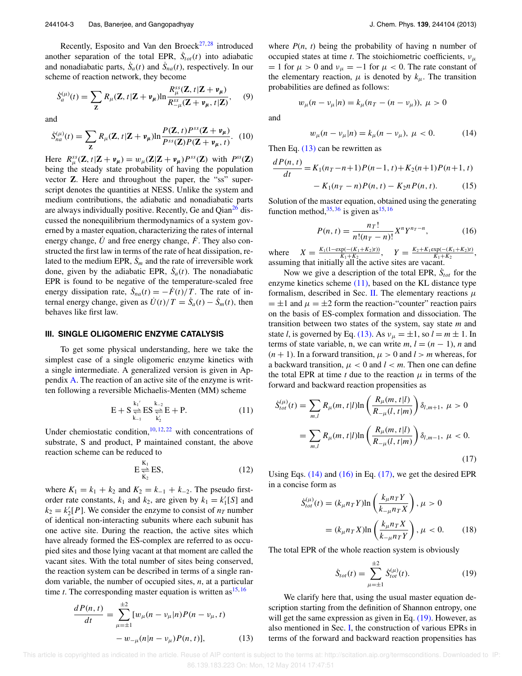Recently, Esposito and Van den Broeck $27, 28$  introduced another separation of the total EPR,  $\dot{S}_{tot}(t)$  into adiabatic and nonadiabatic parts,  $\dot{S}_a(t)$  and  $\dot{S}_{na}(t)$ , respectively. In our scheme of reaction network, they become

$$
\dot{S}_a^{(\mu)}(t) = \sum_{\mathbf{Z}} R_{\mu}(\mathbf{Z}, t | \mathbf{Z} + \mathbf{v}_{\mu}) \ln \frac{R_{\mu}^{ss}(\mathbf{Z}, t | \mathbf{Z} + \mathbf{v}_{\mu})}{R_{-\mu}^{ss}(\mathbf{Z} + \mathbf{v}_{\mu}, t | \mathbf{Z})}, \quad (9)
$$

and

$$
\dot{S}_{na}^{(\mu)}(t) = \sum_{\mathbf{Z}} R_{\mu}(\mathbf{Z}, t | \mathbf{Z} + \mathbf{v}_{\mu}) \ln \frac{P(\mathbf{Z}, t) P^{ss}(\mathbf{Z} + \mathbf{v}_{\mu})}{P^{ss}(\mathbf{Z}) P(\mathbf{Z} + \mathbf{v}_{\mu}, t)}.
$$
 (10)

Here  $R_{\mu}^{ss}(\mathbf{Z}, t|\mathbf{Z} + \mathbf{v}_{\mu}) = w_{\mu}(\mathbf{Z}|\mathbf{Z} + \mathbf{v}_{\mu})P^{ss}(\mathbf{Z})$  with  $P^{ss}(\mathbf{Z})$ being the steady state probability of having the population vector **Z**. Here and throughout the paper, the "ss" superscript denotes the quantities at NESS. Unlike the system and medium contributions, the adiabatic and nonadiabatic parts are always individually positive. Recently, Ge and Qian<sup>26</sup> discussed the nonequilibrium thermodynamics of a system governed by a master equation, characterizing the rates of internal energy change, U and free energy change,  $\ddot{F}$ . They also constructed the first law in terms of the rate of heat dissipation, related to the medium EPR,  $\dot{S}_m$  and the rate of irreversible work done, given by the adiabatic EPR,  $\dot{S}_a(t)$ . The nonadiabatic EPR is found to be negative of the temperature-scaled free energy dissipation rate,  $\dot{S}_{na}(t) = -\dot{F}(t)/T$ . The rate of internal energy change, given as  $\dot{U}(t)/T = \dot{S}_a(t) - \dot{S}_m(t)$ , then behaves like first law.

### **III. SINGLE OLIGOMERIC ENZYME CATALYSIS**

To get some physical understanding, here we take the simplest case of a single oligomeric enzyme kinetics with a single intermediate. A generalized version is given in Appendix A. The reaction of an active site of the enzyme is written following a reversible Michaelis-Menten (MM) scheme

$$
E + S \underset{k_{-1}}{\overset{k_1'}{\rightleftharpoons}} ES \underset{k'_2}{\overset{k_{-2}}{\rightleftharpoons}} E + P.
$$
 (11)

Under chemiostatic condition,  $10, 12, 22$  with concentrations of substrate, S and product, P maintained constant, the above reaction scheme can be reduced to

$$
E \frac{K_1}{K_2} ES,
$$
\n(12)

where  $K_1 = k_1 + k_2$  and  $K_2 = k_{-1} + k_{-2}$ . The pseudo firstorder rate constants,  $k_1$  and  $k_2$ , are given by  $k_1 = k'_1[S]$  and  $k_2 = k'_2[P]$ . We consider the enzyme to consist of  $n_T$  number of identical non-interacting subunits where each subunit has one active site. During the reaction, the active sites which have already formed the ES-complex are referred to as occupied sites and those lying vacant at that moment are called the vacant sites. With the total number of sites being conserved, the reaction system can be described in terms of a single random variable, the number of occupied sites, *n*, at a particular time *t*. The corresponding master equation is written as  $15, 16$ 

$$
\frac{dP(n,t)}{dt} = \sum_{\mu=\pm 1}^{\pm 2} [w_{\mu}(n - v_{\mu}|n)P(n - v_{\mu}, t) - w_{-\mu}(n|n - v_{\mu})P(n, t)],
$$
\n(13)

where  $P(n, t)$  being the probability of having n number of occupied states at time *t*. The stoichiometric coefficients,  $v_{\mu}$  $= 1$  for  $\mu > 0$  and  $v_{\mu} = -1$  for  $\mu < 0$ . The rate constant of the elementary reaction,  $\mu$  is denoted by  $k_{\mu}$ . The transition probabilities are defined as follows:

$$
w_{\mu}(n - v_{\mu}|n) = k_{\mu}(n_T - (n - v_{\mu})), \ \mu > 0
$$

and

$$
w_{\mu}(n - v_{\mu}|n) = k_{\mu}(n - v_{\mu}), \ \mu < 0. \tag{14}
$$

Then Eq. (13) can be rewritten as

$$
\frac{dP(n,t)}{dt} = K_1(n_T - n + 1)P(n-1,t) + K_2(n+1)P(n+1,t)
$$

$$
- K_1(n_T - n)P(n,t) - K_2nP(n,t).
$$
(15)

Solution of the master equation, obtained using the generating function method,  $35,36$  is given as  $15,16$ 

$$
P(n,t) = \frac{n_T!}{n!(n_T - n)!} X^n Y^{n_T - n},
$$
\n(16)

where  $X = \frac{K_1(1-\exp(-(K_1+K_2)t))}{K_1+K_2}$  $\frac{K_1(K_1+K_2)t)}{K_1+K_2}$ ,  $Y = \frac{K_2+K_1\exp(-(K_1+K_2)t)}{K_1+K_2}$  $\frac{Xp(- (K_1 + K_2)t)}{K_1 + K_2}$ , assuming that initially all the active sites are vacant.

Now we give a description of the total EPR,  $\dot{S}_{tot}$  for the enzyme kinetics scheme  $(11)$ , based on the KL distance type formalism, described in Sec. II. The elementary reactions  $\mu$  $= \pm 1$  and  $\mu = \pm 2$  form the reaction-"counter" reaction pairs on the basis of ES-complex formation and dissociation. The transition between two states of the system, say state *m* and state *l*, is governed by Eq. (13). As  $v_{\mu} = \pm 1$ , so  $l = m \pm 1$ . In terms of state variable, n, we can write  $m, l = (n - 1)$ , n and  $(n + 1)$ . In a forward transition,  $\mu > 0$  and  $l > m$  whereas, for a backward transition,  $\mu < 0$  and  $l < m$ . Then one can define the total EPR at time *t* due to the reaction  $\mu$  in terms of the forward and backward reaction propensities as

$$
\dot{S}_{tot}^{(\mu)}(t) = \sum_{m,l} R_{\mu}(m, t|l) \ln \left( \frac{R_{\mu}(m, t|l)}{R_{-\mu}(l, t|m)} \right) \delta_{l,m+1}, \ \mu > 0
$$
\n
$$
= \sum_{m,l} R_{\mu}(m, t|l) \ln \left( \frac{R_{\mu}(m, t|l)}{R_{-\mu}(l, t|m)} \right) \delta_{l,m-1}, \ \mu < 0.
$$
\n(17)

Using Eqs. (14) and (16) in Eq. (17), we get the desired EPR in a concise form as

$$
\dot{S}_{tot}^{(\mu)}(t) = (k_{\mu}n_{T}Y)\ln\left(\frac{k_{\mu}n_{T}Y}{k_{-\mu}n_{T}X}\right), \mu > 0
$$

$$
= (k_{\mu}n_{T}X)\ln\left(\frac{k_{\mu}n_{T}X}{k_{-\mu}n_{T}Y}\right), \mu < 0.
$$
 (18)

The total EPR of the whole reaction system is obviously

$$
\dot{S}_{tot}(t) = \sum_{\mu=\pm 1}^{\pm 2} \dot{S}_{tot}^{(\mu)}(t). \tag{19}
$$

We clarify here that, using the usual master equation description starting from the definition of Shannon entropy, one will get the same expression as given in Eq.  $(19)$ . However, as also mentioned in Sec. I, the construction of various EPRs in terms of the forward and backward reaction propensities has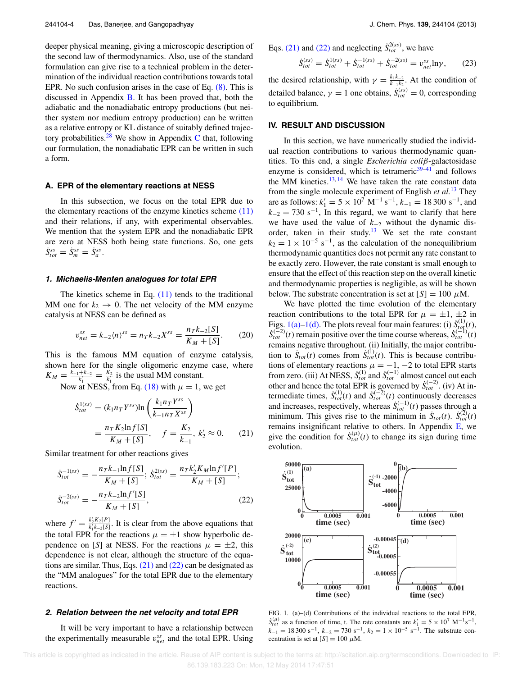deeper physical meaning, giving a microscopic description of the second law of thermodynamics. Also, use of the standard formulation can give rise to a technical problem in the determination of the individual reaction contributions towards total EPR. No such confusion arises in the case of Eq. (8). This is discussed in Appendix B. It has been proved that, both the adiabatic and the nonadiabatic entropy productions (but neither system nor medium entropy production) can be written as a relative entropy or KL distance of suitably defined trajectory probabilities.<sup>28</sup> We show in Appendix C that, following our formulation, the nonadiabatic EPR can be written in such a form.

#### **A. EPR of the elementary reactions at NESS**

In this subsection, we focus on the total EPR due to the elementary reactions of the enzyme kinetics scheme  $(11)$ and their relations, if any, with experimental observables. We mention that the system EPR and the nonadiabatic EPR are zero at NESS both being state functions. So, one gets  $\dot{S}^{ss}_{tot} = \dot{S}^{ss}_m = \dot{S}^{ss}_a.$ 

#### **1. Michaelis-Menten analogues for total EPR**

The kinetics scheme in Eq.  $(11)$  tends to the traditional MM one for  $k_2 \rightarrow 0$ . The net velocity of the MM enzyme catalysis at NESS can be defined as

$$
v_{net}^{ss} = k_{-2} \langle n \rangle^{ss} = n_T k_{-2} X^{ss} = \frac{n_T k_{-2} [S]}{K_M + [S]}.
$$
 (20)

This is the famous MM equation of enzyme catalysis, shown here for the single oligomeric enzyme case, where  $K_M = \frac{k_{-1}+k_{-2}}{k'_1} = \frac{K_2}{k'_1}$  is the usual MM constant.

Now at NESS, from Eq. (18) with  $\mu = 1$ , we get

$$
\dot{S}_{tot}^{1(ss)} = (k_1 n_T Y^{ss}) \ln \left( \frac{k_1 n_T Y^{ss}}{k_{-1} n_T X^{ss}} \right)
$$
  
=  $\frac{n_T K_2 \ln f[S]}{K_M + [S]}, \quad f = \frac{K_2}{k_{-1}}, k'_2 \approx 0.$  (21)

Similar treatment for other reactions gives

$$
\dot{S}_{tot}^{-1(ss)} = -\frac{n_T k_{-1} \ln f[S]}{K_M + [S]}; \ \dot{S}_{tot}^{2(ss)} = \frac{n_T k'_2 K_M \ln f'[P]}{K_M + [S]};
$$
\n
$$
\dot{S}_{tot}^{-2(ss)} = -\frac{n_T k_{-2} \ln f'[S]}{K_M + [S]}, \tag{22}
$$

where  $f' = \frac{k'_2 K_2[P]}{k'_1 k_{-2}[S]}$ . It is clear from the above equations that the total EPR for the reactions  $\mu = \pm 1$  show hyperbolic dependence on [*S*] at NESS. For the reactions  $\mu = \pm 2$ , this dependence is not clear, although the structure of the equations are similar. Thus, Eqs.  $(21)$  and  $(22)$  can be designated as the "MM analogues" for the total EPR due to the elementary reactions.

#### **2. Relation between the net velocity and total EPR**

It will be very important to have a relationship between the experimentally measurable  $v_{net}^{ss}$  and the total EPR. Using Eqs. (21) and (22) and neglecting  $\dot{S}_{tot}^{2(ss)}$ , we have

$$
\dot{S}_{tot}^{(ss)} = \dot{S}_{tot}^{1(ss)} + \dot{S}_{tot}^{-1(ss)} + \dot{S}_{tot}^{-2(ss)} = v_{net}^{ss} \ln \gamma, \qquad (23)
$$

the desired relationship, with  $\gamma = \frac{k_1k_2}{k_1+k_2}$  $\frac{k_1k_{-2}}{k_{-1}k_2}$ . At the condition of detailed balance,  $\gamma = 1$  one obtains,  $\dot{S}_{tot}^{(ss)} = 0$ , corresponding to equilibrium.

#### **IV. RESULT AND DISCUSSION**

In this section, we have numerically studied the individual reaction contributions to various thermodynamic quantities. To this end, a single *Escherichia coli*β-galactosidase enzyme is considered, which is tetrameric $39-41$  and follows the MM kinetics. $13, 14$  We have taken the rate constant data from the single molecule experiment of English *et al.*<sup>13</sup> They are as follows:  $k'_1 = 5 \times 10^7 \text{ M}^{-1} \text{ s}^{-1}$ ,  $k_{-1} = 18300 \text{ s}^{-1}$ , and  $k_{-2} = 730$  s<sup>-1</sup>, In this regard, we want to clarify that here we have used the value of *k*<sup>−</sup><sup>2</sup> without the dynamic disorder, taken in their study.<sup>13</sup> We set the rate constant  $k_2 = 1 \times 10^{-5}$  s<sup>-1</sup>, as the calculation of the nonequilibrium thermodynamic quantities does not permit any rate constant to be exactly zero. However, the rate constant is small enough to ensure that the effect of this reaction step on the overall kinetic and thermodynamic properties is negligible, as will be shown below. The substrate concentration is set at  $[S] = 100 \mu M$ .

We have plotted the time evolution of the elementary reaction contributions to the total EPR for  $\mu = \pm 1, \pm 2$  in Figs. 1(a)–1(d). The plots reveal four main features: (i)  $\dot{S}_{tot}^{(1)}(t)$ ,  $\dot{S}_{tot}^{(-2)}(t)$  remain positive over the time course whereas,  $\dot{S}_{tot}^{(-1)}(t)$ remains negative throughout. (ii) Initially, the major contribution to  $\dot{S}_{tot}(t)$  comes from  $\dot{S}_{tot}^{(1)}(t)$ . This is because contributions of elementary reactions  $\mu = -1, -2$  to total EPR starts from zero. (iii) At NESS,  $\dot{S}_{tot}^{(1)}$  and  $\dot{S}_{tot}^{(-1)}$  almost cancel out each other and hence the total EPR is governed by  $\dot{S}_{tot}^{(-2)}$ . (iv) At intermediate times,  $\dot{S}_{tot}^{(1)}(t)$  and  $\dot{S}_{tot}^{(-2)}(t)$  continuously decreases and increases, respectively, whereas  $\dot{S}_{tot}^{(-1)}(t)$  passes through a minimum. This gives rise to the minimum in  $\dot{S}_{tot}^{(+)}(t)$ . minimum. This gives rise to the minimum in  $\dot{S}_{tot}(t)$ .  $\dot{S}_{tot}^{(2)}(t)$ remains insignificant relative to others. In Appendix E, we give the condition for  $\dot{S}^{(\mu)}_{tot}(t)$  to change its sign during time evolution.



FIG. 1. (a)–(d) Contributions of the individual reactions to the total EPR,  $\dot{S}_{tot}^{(\mu)}$  as a function of time, t. The rate constants are  $k'_1 = 5 \times 10^7 \text{ M}^{-1} \text{s}^{-1}$ ,  $k_{-1} = 18300 \text{ s}^{-1}$ ,  $k_{-2} = 730 \text{ s}^{-1}$ ,  $k_2 = 1 \times 10^{-5} \text{ s}^{-1}$ . The substrate concentration is set at  $[S] = 100 \mu M$ .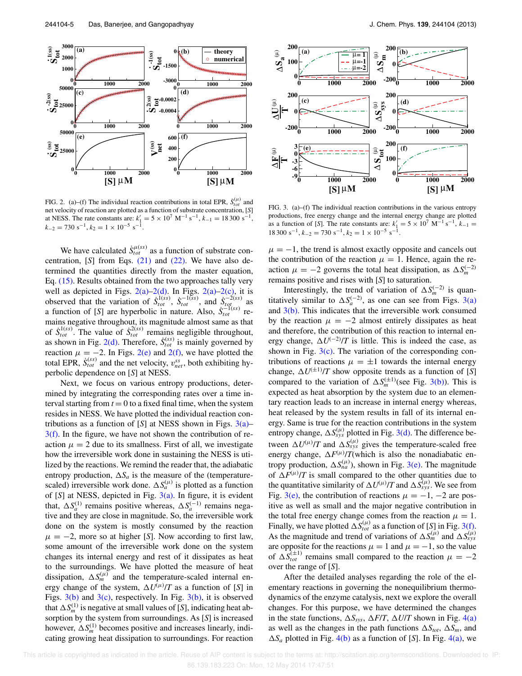

FIG. 2. (a)–(f) The individual reaction contributions in total EPR,  $\dot{S}_{tot}^{(\mu)}$  and net velocity of reaction are plotted as a function of substrate concentration, [*S*] at NESS. The rate constants are:  $k'_1 = 5 \times 10^7 \text{ M}^{-1} \text{ s}^{-1}$ ,  $k_{-1} = 18300 \text{ s}^{-1}$ ,  $k_{-2} = 730 \text{ s}^{-1}, k_2 = 1 \times 10^{-5} \text{ s}^{-1}.$ 

We have calculated  $\dot{S}_{tot}^{\mu(ss)}$  as a function of substrate concentration, [*S*] from Eqs. (21) and (22). We have also determined the quantities directly from the master equation, Eq. (15). Results obtained from the two approaches tally very well as depicted in Figs.  $2(a)-2(d)$ . In Figs.  $2(a)-2(c)$ , it is observed that the variation of  $\dot{S}_{tot}^{1(ss)}$ ,  $\dot{S}_{tot}^{-1(ss)}$ , and  $\dot{S}_{tot}^{-2(ss)}$  as a function of [*S*] are hyperbolic in nature. Also,  $\dot{S}_{tot}^{-1(ss)}$  remains negative throughout, its magnitude almost same as that of  $\dot{S}_{tot}^{1(ss)}$ . The value of  $\dot{S}_{tot}^{2(ss)}$  remains negligible throughout, as shown in Fig. 2(d). Therefore,  $\dot{S}^{(ss)}_{tot}$  is mainly governed by reaction  $\mu = -2$ . In Figs. 2(e) and 2(f), we have plotted the total EPR,  $\dot{S}_{tot}^{(ss)}$  and the net velocity,  $v_{net}^{ss}$ , both exhibiting hyperbolic dependence on [*S*] at NESS.

Next, we focus on various entropy productions, determined by integrating the corresponding rates over a time interval starting from  $t = 0$  to a fixed final time, when the system resides in NESS. We have plotted the individual reaction contributions as a function of  $[S]$  at NESS shown in Figs.  $3(a)$ –  $3(f)$ . In the figure, we have not shown the contribution of reaction  $\mu = 2$  due to its smallness. First of all, we investigate how the irreversible work done in sustaining the NESS is utilized by the reactions. We remind the reader that, the adiabatic entropy production,  $\Delta S_a$  is the measure of the (temperaturescaled) irreversible work done.  $\Delta S_a^{(\mu)}$  is plotted as a function of [*S*] at NESS, depicted in Fig. 3(a). In figure, it is evident that,  $\Delta S_a^{(1)}$  remains positive whereas,  $\Delta S_a^{(-1)}$  remains negative and they are close in magnitude. So, the irreversible work done on the system is mostly consumed by the reaction  $\mu = -2$ , more so at higher [*S*]. Now according to first law, some amount of the irreversible work done on the system changes its internal energy and rest of it dissipates as heat to the surroundings. We have plotted the measure of heat dissipation,  $\Delta S_m^{(\mu)}$  and the temperature-scaled internal energy change of the system,  $\Delta U^{(\mu)}/T$  as a function of [S] in Figs.  $3(b)$  and  $3(c)$ , respectively. In Fig.  $3(b)$ , it is observed that  $\Delta S_m^{(1)}$  is negative at small values of [*S*], indicating heat absorption by the system from surroundings. As [*S*] is increased however,  $\Delta S_m^{(1)}$  becomes positive and increases linearly, indicating growing heat dissipation to surroundings. For reaction



FIG. 3. (a)–(f) The individual reaction contributions in the various entropy productions, free energy change and the internal energy change are plotted as a function of [*S*]. The rate constants are:  $k'_1 = 5 \times 10^7 \text{ M}^{-1} \text{ s}^{-1}$ ,  $k_{-1} =$  $18300 \text{ s}^{-1}$ ,  $k_{-2} = 730 \text{ s}^{-1}$ ,  $k_2 = 1 \times 10^{-5} \text{ s}^{-1}$ .

 $\mu = -1$ , the trend is almost exactly opposite and cancels out the contribution of the reaction  $\mu = 1$ . Hence, again the reaction  $\mu = -2$  governs the total heat dissipation, as  $\Delta S_m^{(-2)}$ remains positive and rises with [*S*] to saturation.

Interestingly, the trend of variation of  $\Delta S_m^{(-2)}$  is quantitatively similar to  $\Delta S_a^{(-2)}$ , as one can see from Figs. 3(a) and  $3(b)$ . This indicates that the irreversible work consumed by the reaction  $\mu = -2$  almost entirely dissipates as heat and therefore, the contribution of this reaction to internal energy change,  $\Delta U^{(-2)}/T$  is little. This is indeed the case, as shown in Fig.  $3(c)$ . The variation of the corresponding contributions of reactions  $\mu = \pm 1$  towards the internal energy change,  $\Delta U^{(\pm 1)}/T$  show opposite trends as a function of [*S*] compared to the variation of  $\Delta S_m^{(\pm 1)}$ (see Fig. 3(b)). This is expected as heat absorption by the system due to an elementary reaction leads to an increase in internal energy whereas, heat released by the system results in fall of its internal energy. Same is true for the reaction contributions in the system entropy change,  $\Delta S_{sys}^{(\mu)}$  plotted in Fig. 3(d). The difference between  $\Delta U^{(\mu)} / T$  and  $\Delta S^{(\mu)}_{\text{sys}}$  gives the temperature-scaled free energy change,  $\Delta F^{(\mu)} / T$ (which is also the nonadiabatic entropy production,  $\Delta S_{na}^{(\mu)}$ ), shown in Fig. 3(e). The magnitude of  $\Delta F^{(\mu)} / T$  is small compared to the other quantities due to the quantitative similarity of  $\Delta U^{(\mu)} / T$  and  $\Delta S_{sys}^{(\mu)}$ . We see from Fig. 3(e), the contribution of reactions  $\mu = -1, -2$  are positive as well as small and the major negative contribution in the total free energy change comes from the reaction  $\mu = 1$ . Finally, we have plotted  $\Delta S_{tot}^{(\mu)}$  as a function of [*S*] in Fig. 3(f). As the magnitude and trend of variations of  $\Delta S_{m}^{(\mu)}$  and  $\Delta S_{sys}^{(\mu)}$ are opposite for the reactions  $\mu = 1$  and  $\mu = -1$ , so the value of  $\Delta S_{tot}^{(\pm 1)}$  remains small compared to the reaction  $\mu = -2$ over the range of [*S*].

After the detailed analyses regarding the role of the elementary reactions in governing the nonequilibrium thermodynamics of the enzyme catalysis, next we explore the overall changes. For this purpose, we have determined the changes in the state functions,  $\Delta S_{sys}$ ,  $\Delta F/T$ ,  $\Delta U/T$  shown in Fig. 4(a) as well as the changes in the path functions  $\Delta S_{tot}$ ,  $\Delta S_m$ , and  $\Delta S_a$  plotted in Fig. 4(b) as a function of [*S*]. In Fig. 4(a), we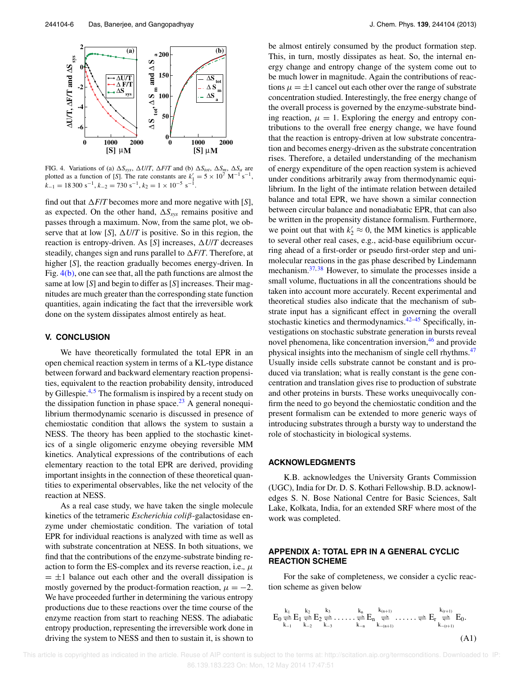

FIG. 4. Variations of (a)  $\Delta S_{sys}$ ,  $\Delta U/T$ ,  $\Delta F/T$  and (b)  $\Delta S_{tot}$ ,  $\Delta S_m$ ,  $\Delta S_a$  are plotted as a function of [*S*]. The rate constants are  $k'_1 = 5 \times 10^7 \text{ M}^{-1} \text{ s}^{-1}$ ,  $k_{-1} = 18300 \text{ s}^{-1}, k_{-2} = 730 \text{ s}^{-1}, k_2 = 1 \times 10^{-5} \text{ s}^{-1}.$ 

find out that  $\Delta F/T$  becomes more and more negative with [*S*], as expected. On the other hand,  $\Delta S_{sys}$  remains positive and passes through a maximum. Now, from the same plot, we observe that at low [*S*],  $\Delta U/T$  is positive. So in this region, the reaction is entropy-driven. As [S] increases,  $\Delta U/T$  decreases steadily, changes sign and runs parallel to  $\Delta F/T$ . Therefore, at higher [*S*], the reaction gradually becomes energy-driven. In Fig. 4(b), one can see that, all the path functions are almost the same at low [*S*] and begin to differ as [*S*] increases. Their magnitudes are much greater than the corresponding state function quantities, again indicating the fact that the irreversible work done on the system dissipates almost entirely as heat.

### **V. CONCLUSION**

We have theoretically formulated the total EPR in an open chemical reaction system in terms of a KL-type distance between forward and backward elementary reaction propensities, equivalent to the reaction probability density, introduced by Gillespie.<sup>4,5</sup> The formalism is inspired by a recent study on the dissipation function in phase space.<sup>23</sup> A general nonequilibrium thermodynamic scenario is discussed in presence of chemiostatic condition that allows the system to sustain a NESS. The theory has been applied to the stochastic kinetics of a single oligomeric enzyme obeying reversible MM kinetics. Analytical expressions of the contributions of each elementary reaction to the total EPR are derived, providing important insights in the connection of these theoretical quantities to experimental observables, like the net velocity of the reaction at NESS.

As a real case study, we have taken the single molecule kinetics of the tetrameric *Escherichia coli*β-galactosidase enzyme under chemiostatic condition. The variation of total EPR for individual reactions is analyzed with time as well as with substrate concentration at NESS. In both situations, we find that the contributions of the enzyme-substrate binding reaction to form the ES-complex and its reverse reaction, i.e.,  $\mu$  $= \pm 1$  balance out each other and the overall dissipation is mostly governed by the product-formation reaction,  $\mu = -2$ . We have proceeded further in determining the various entropy productions due to these reactions over the time course of the enzyme reaction from start to reaching NESS. The adiabatic entropy production, representing the irreversible work done in driving the system to NESS and then to sustain it, is shown to be almost entirely consumed by the product formation step. This, in turn, mostly dissipates as heat. So, the internal energy change and entropy change of the system come out to be much lower in magnitude. Again the contributions of reactions  $\mu = \pm 1$  cancel out each other over the range of substrate concentration studied. Interestingly, the free energy change of the overall process is governed by the enzyme-substrate binding reaction,  $\mu = 1$ . Exploring the energy and entropy contributions to the overall free energy change, we have found that the reaction is entropy-driven at low substrate concentration and becomes energy-driven as the substrate concentration rises. Therefore, a detailed understanding of the mechanism of energy expenditure of the open reaction system is achieved under conditions arbitrarily away from thermodynamic equilibrium. In the light of the intimate relation between detailed balance and total EPR, we have shown a similar connection between circular balance and nonadiabatic EPR, that can also be written in the propensity distance formalism. Furthermore, we point out that with  $k'_2 \approx 0$ , the MM kinetics is applicable to several other real cases, e.g., acid-base equilibrium occurring ahead of a first-order or pseudo first-order step and unimolecular reactions in the gas phase described by Lindemann mechanism.<sup>37, 38</sup> However, to simulate the processes inside a small volume, fluctuations in all the concentrations should be taken into account more accurately. Recent experimental and theoretical studies also indicate that the mechanism of substrate input has a significant effect in governing the overall stochastic kinetics and thermodynamics. $42-45$  Specifically, investigations on stochastic substrate generation in bursts reveal novel phenomena, like concentration inversion,<sup>46</sup> and provide physical insights into the mechanism of single cell rhythms.<sup>47</sup> Usually inside cells substrate cannot be constant and is produced via translation; what is really constant is the gene concentration and translation gives rise to production of substrate and other proteins in bursts. These works unequivocally confirm the need to go beyond the chemiostatic condition and the present formalism can be extended to more generic ways of introducing substrates through a bursty way to understand the role of stochasticity in biological systems.

#### **ACKNOWLEDGMENTS**

K.B. acknowledges the University Grants Commission (UGC), India for Dr. D. S. Kothari Fellowship. B.D. acknowledges S. N. Bose National Centre for Basic Sciences, Salt Lake, Kolkata, India, for an extended SRF where most of the work was completed.

## **APPENDIX A: TOTAL EPR IN A GENERAL CYCLIC REACTION SCHEME**

For the sake of completeness, we consider a cyclic reaction scheme as given below

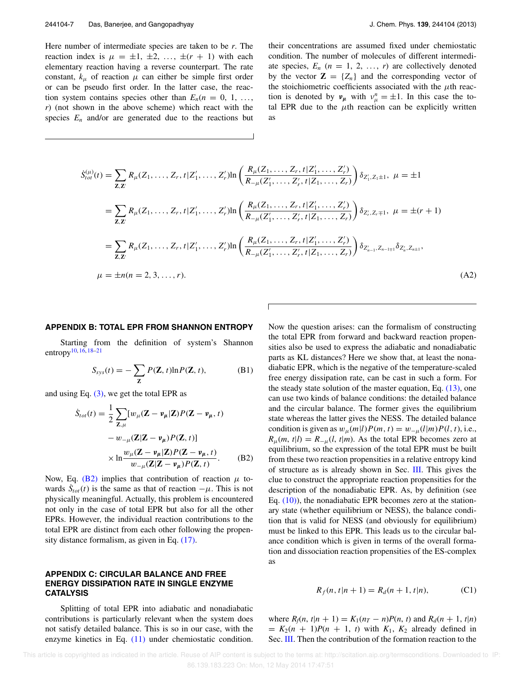Here number of intermediate species are taken to be *r*. The reaction index is  $\mu = \pm 1, \pm 2, \ldots, \pm (r + 1)$  with each elementary reaction having a reverse counterpart. The rate constant,  $k_{\mu}$  of reaction  $\mu$  can either be simple first order or can be pseudo first order. In the latter case, the reaction system contains species other than  $E_n(n = 0, 1, \ldots,$ *r*) (not shown in the above scheme) which react with the species  $E_n$  and/or are generated due to the reactions but their concentrations are assumed fixed under chemiostatic condition. The number of molecules of different intermediate species,  $E_n$  ( $n = 1, 2, \ldots, r$ ) are collectively denoted by the vector  $\mathbf{Z} = \{Z_n\}$  and the corresponding vector of the stoichiometric coefficients associated with the  $\mu$ th reaction is denoted by  $v_{\mu}$  with  $v_{\mu}^{n} = \pm 1$ . In this case the total EPR due to the  $\mu$ th reaction can be explicitly written as

$$
\dot{S}_{tot}^{(\mu)}(t) = \sum_{\mathbf{Z},\mathbf{Z}'} R_{\mu}(Z_1,\ldots,Z_r,t|Z'_1,\ldots,Z'_r) \ln\left(\frac{R_{\mu}(Z_1,\ldots,Z_r,t|Z'_1,\ldots,Z'_r)}{R_{-\mu}(Z'_1,\ldots,Z_r,t|Z_1,\ldots,Z_r)}\right) \delta_{Z'_1,Z_1\pm 1}, \ \mu = \pm 1
$$
\n
$$
= \sum_{\mathbf{Z},\mathbf{Z}'} R_{\mu}(Z_1,\ldots,Z_r,t|Z'_1,\ldots,Z'_r) \ln\left(\frac{R_{\mu}(Z_1,\ldots,Z_r,t|Z'_1,\ldots,Z'_r)}{R_{-\mu}(Z'_1,\ldots,Z_r,t|Z_1,\ldots,Z_r)}\right) \delta_{Z'_r,Z_r\mp 1}, \ \mu = \pm (r+1)
$$
\n
$$
= \sum_{\mathbf{Z},\mathbf{Z}'} R_{\mu}(Z_1,\ldots,Z_r,t|Z'_1,\ldots,Z'_r) \ln\left(\frac{R_{\mu}(Z_1,\ldots,Z_r,t|Z'_1,\ldots,Z'_r)}{R_{-\mu}(Z'_1,\ldots,Z_r,t|Z_1,\ldots,Z_r)}\right) \delta_{Z'_{n-1},Z_{n-1\mp 1}} \delta_{Z'_n,Z_{n\pm 1}},
$$
\n
$$
\mu = \pm n(n=2,3,\ldots,r).
$$
\n(A2)

Г

#### **APPENDIX B: TOTAL EPR FROM SHANNON ENTROPY**

Starting from the definition of system's Shannon entropy $10, 16, 18-21$ 

$$
S_{sys}(t) = -\sum_{\mathbf{Z}} P(\mathbf{Z}, t) \ln P(\mathbf{Z}, t), \tag{B1}
$$

and using Eq.  $(3)$ , we get the total EPR as

$$
\dot{S}_{tot}(t) = \frac{1}{2} \sum_{\mathbf{Z},\mu} [w_{\mu}(\mathbf{Z} - \mathbf{v}_{\mu}|\mathbf{Z}) P(\mathbf{Z} - \mathbf{v}_{\mu}, t) - w_{-\mu}(\mathbf{Z}|\mathbf{Z} - \mathbf{v}_{\mu}) P(\mathbf{Z}, t)]
$$
\n
$$
\times \ln \frac{w_{\mu}(\mathbf{Z} - \mathbf{v}_{\mu}|\mathbf{Z}) P(\mathbf{Z} - \mathbf{v}_{\mu}, t)}{w_{-\mu}(\mathbf{Z}|\mathbf{Z} - \mathbf{v}_{\mu}) P(\mathbf{Z}, t)}.
$$
\n(B2)

Now, Eq. (B2) implies that contribution of reaction  $\mu$  towards  $\dot{S}_{tot}(t)$  is the same as that of reaction  $-\mu$ . This is not physically meaningful. Actually, this problem is encountered not only in the case of total EPR but also for all the other EPRs. However, the individual reaction contributions to the total EPR are distinct from each other following the propensity distance formalism, as given in Eq. (17).

## **APPENDIX C: CIRCULAR BALANCE AND FREE ENERGY DISSIPATION RATE IN SINGLE ENZYME CATALYSIS**

Splitting of total EPR into adiabatic and nonadiabatic contributions is particularly relevant when the system does not satisfy detailed balance. This is so in our case, with the enzyme kinetics in Eq. (11) under chemiostatic condition. Now the question arises: can the formalism of constructing the total EPR from forward and backward reaction propensities also be used to express the adiabatic and nonadiabatic parts as KL distances? Here we show that, at least the nonadiabatic EPR, which is the negative of the temperature-scaled free energy dissipation rate, can be cast in such a form. For the steady state solution of the master equation, Eq.  $(13)$ , one can use two kinds of balance conditions: the detailed balance and the circular balance. The former gives the equilibrium state whereas the latter gives the NESS. The detailed balance condition is given as  $w_{\mu}(m|l)P(m, t) = w_{-\mu}(l|m)P(l, t)$ , i.e.,  $R_{\mu}(m, t|l) = R_{-\mu}(l, t|m)$ . As the total EPR becomes zero at equilibrium, so the expression of the total EPR must be built from these two reaction propensities in a relative entropy kind of structure as is already shown in Sec. III. This gives the clue to construct the appropriate reaction propensities for the description of the nonadiabatic EPR. As, by definition (see Eq.  $(10)$ ), the nonadiabatic EPR becomes zero at the stationary state (whether equilibrium or NESS), the balance condition that is valid for NESS (and obviously for equilibrium) must be linked to this EPR. This leads us to the circular balance condition which is given in terms of the overall formation and dissociation reaction propensities of the ES-complex as

$$
R_f(n, t | n + 1) = R_d(n + 1, t | n),
$$
 (C1)

where  $R_f(n, t|n + 1) = K_1(n_T - n)P(n, t)$  and  $R_d(n + 1, t|n)$  $= K_2(n + 1)P(n + 1, t)$  with  $K_1, K_2$  already defined in Sec. III. Then the contribution of the formation reaction to the